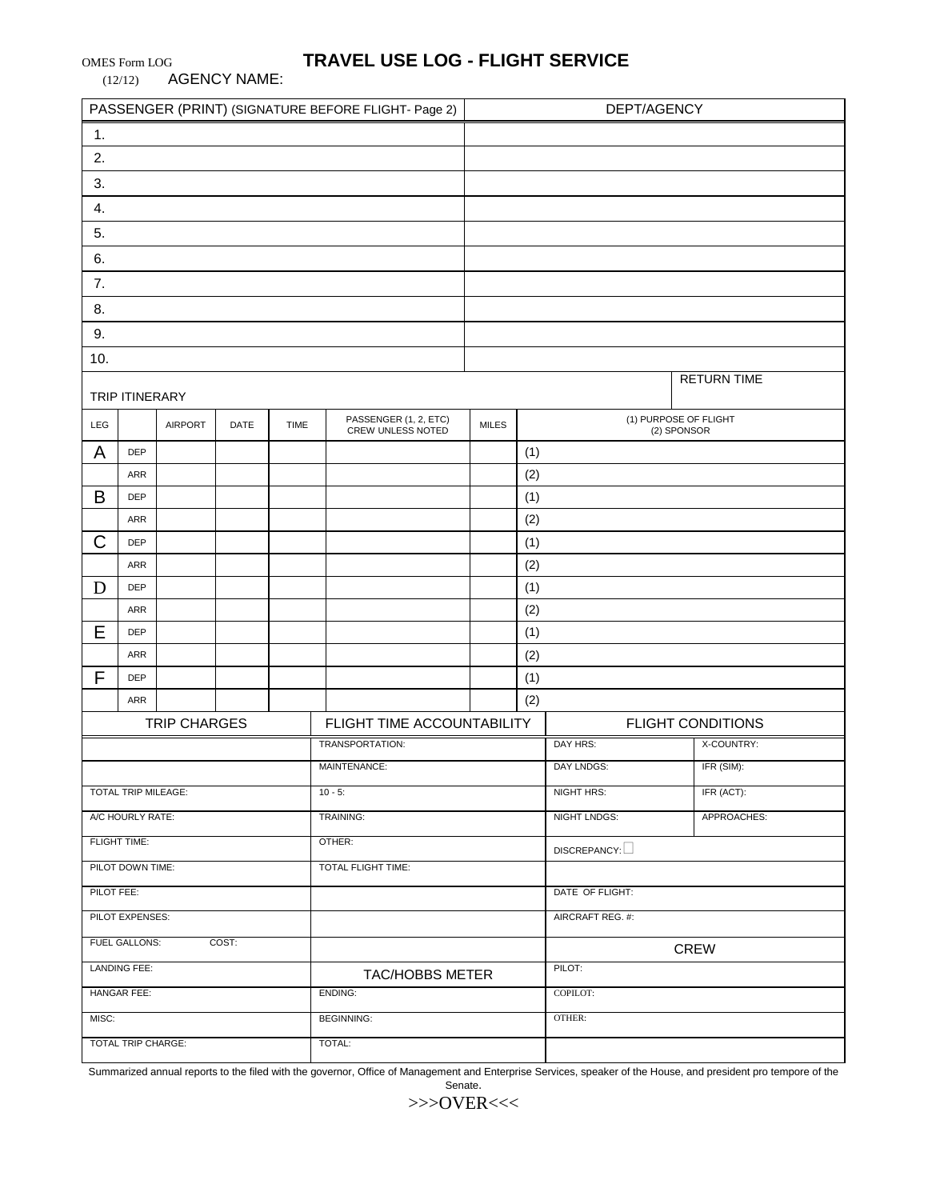(12/12) AGENCY NAME:

# OMES Form LOG **TRAVEL USE LOG - FLIGHT SERVICE**

| PASSENGER (PRINT) (SIGNATURE BEFORE FLIGHT- Page 2) |                   |                |      |             |                                            | DEPT/AGENCY  |     |                          |                                      |  |
|-----------------------------------------------------|-------------------|----------------|------|-------------|--------------------------------------------|--------------|-----|--------------------------|--------------------------------------|--|
| 1.                                                  |                   |                |      |             |                                            |              |     |                          |                                      |  |
| 2.                                                  |                   |                |      |             |                                            |              |     |                          |                                      |  |
| 3.                                                  |                   |                |      |             |                                            |              |     |                          |                                      |  |
| 4.                                                  |                   |                |      |             |                                            |              |     |                          |                                      |  |
| 5.                                                  |                   |                |      |             |                                            |              |     |                          |                                      |  |
| 6.                                                  |                   |                |      |             |                                            |              |     |                          |                                      |  |
| 7.                                                  |                   |                |      |             |                                            |              |     |                          |                                      |  |
| 8.                                                  |                   |                |      |             |                                            |              |     |                          |                                      |  |
| 9.                                                  |                   |                |      |             |                                            |              |     |                          |                                      |  |
| 10.                                                 |                   |                |      |             |                                            |              |     |                          |                                      |  |
|                                                     | TRIP ITINERARY    |                |      |             |                                            |              |     |                          | <b>RETURN TIME</b>                   |  |
| LEG                                                 |                   | <b>AIRPORT</b> | DATE | <b>TIME</b> | PASSENGER (1, 2, ETC)<br>CREW UNLESS NOTED | <b>MILES</b> |     |                          | (1) PURPOSE OF FLIGHT<br>(2) SPONSOR |  |
| A                                                   | <b>DEP</b>        |                |      |             |                                            |              | (1) |                          |                                      |  |
|                                                     | <b>ARR</b>        |                |      |             |                                            |              | (2) |                          |                                      |  |
| B                                                   | <b>DEP</b>        |                |      |             |                                            |              | (1) |                          |                                      |  |
|                                                     | <b>ARR</b>        |                |      |             |                                            |              | (2) |                          |                                      |  |
| C                                                   | <b>DEP</b>        |                |      |             |                                            |              | (1) |                          |                                      |  |
|                                                     | ARR               |                |      |             |                                            |              | (2) |                          |                                      |  |
| D                                                   | <b>DEP</b>        |                |      |             |                                            |              | (1) |                          |                                      |  |
|                                                     | ARR               |                |      |             |                                            |              | (2) |                          |                                      |  |
| Е                                                   | <b>DEP</b>        |                |      |             |                                            |              | (1) |                          |                                      |  |
|                                                     | ARR               |                |      |             |                                            |              | (2) |                          |                                      |  |
| F                                                   | <b>DEP</b><br>ARR |                |      |             |                                            |              | (1) |                          |                                      |  |
|                                                     |                   |                |      |             | FLIGHT TIME ACCOUNTABILITY                 |              | (2) | <b>FLIGHT CONDITIONS</b> |                                      |  |
| TRIP CHARGES<br>TRANSPORTATION:                     |                   |                |      |             |                                            |              |     | DAY HRS:                 | X-COUNTRY:                           |  |
| MAINTENANCE:                                        |                   |                |      |             |                                            |              |     | DAY LNDGS:               | IFR (SIM):                           |  |
| TOTAL TRIP MILEAGE:<br>$10 - 5$ :                   |                   |                |      |             |                                            |              |     | NIGHT HRS:               | IFR (ACT):                           |  |
| A/C HOURLY RATE:<br>TRAINING:                       |                   |                |      |             |                                            |              |     | NIGHT LNDGS:             | APPROACHES:                          |  |
| FLIGHT TIME:<br>OTHER:                              |                   |                |      |             |                                            |              |     | DISCREPANCY:             |                                      |  |
| PILOT DOWN TIME:<br>TOTAL FLIGHT TIME:              |                   |                |      |             |                                            |              |     |                          |                                      |  |
| PILOT FEE:                                          |                   |                |      |             |                                            |              |     | DATE OF FLIGHT:          |                                      |  |
| PILOT EXPENSES:                                     |                   |                |      |             |                                            |              |     | AIRCRAFT REG. #:         |                                      |  |
| <b>FUEL GALLONS:</b><br>COST:                       |                   |                |      |             |                                            |              |     |                          | CREW                                 |  |
| <b>LANDING FEE:</b><br>TAC/HOBBS METER              |                   |                |      |             |                                            |              |     | PILOT:                   |                                      |  |
| HANGAR FEE:<br>ENDING:                              |                   |                |      |             |                                            | COPILOT:     |     |                          |                                      |  |
| MISC:                                               |                   |                |      |             | <b>BEGINNING:</b>                          |              |     | OTHER:                   |                                      |  |
| <b>TOTAL TRIP CHARGE:</b><br>TOTAL:                 |                   |                |      |             |                                            |              |     |                          |                                      |  |
|                                                     |                   |                |      |             |                                            |              |     |                          |                                      |  |

Summarized annual reports to the filed with the governor, Office of Management and Enterprise Services, speaker of the House, and president pro tempore of the

Senate.

>>>OVER<<<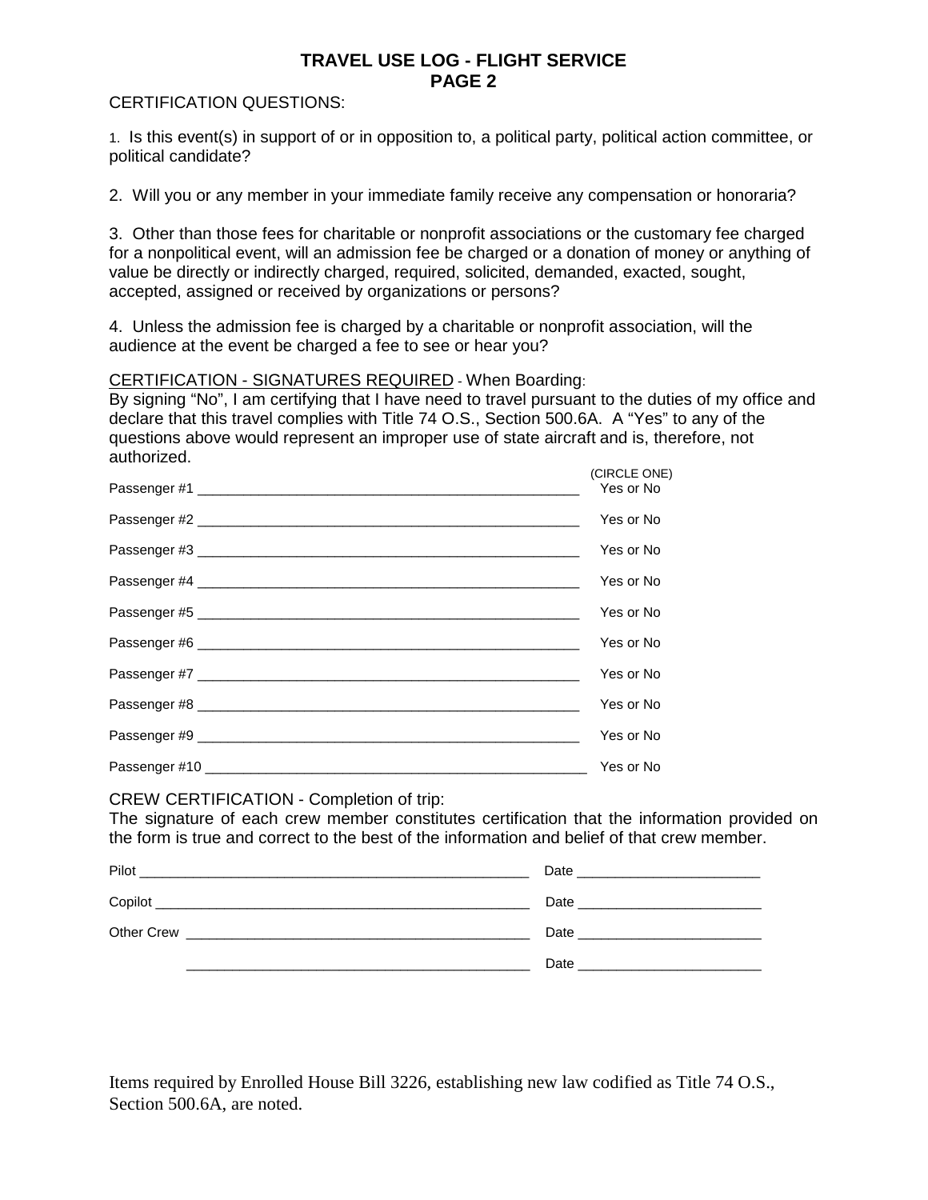## **TRAVEL USE LOG - FLIGHT SERVICE PAGE 2**

### CERTIFICATION QUESTIONS:

1. Is this event(s) in support of or in opposition to, a political party, political action committee, or political candidate?

2. Will you or any member in your immediate family receive any compensation or honoraria?

3. Other than those fees for charitable or nonprofit associations or the customary fee charged for a nonpolitical event, will an admission fee be charged or a donation of money or anything of value be directly or indirectly charged, required, solicited, demanded, exacted, sought, accepted, assigned or received by organizations or persons?

4. Unless the admission fee is charged by a charitable or nonprofit association, will the audience at the event be charged a fee to see or hear you?

#### CERTIFICATION - SIGNATURES REQUIRED - When Boarding:

By signing "No", I am certifying that I have need to travel pursuant to the duties of my office and declare that this travel complies with Title 74 O.S., Section 500.6A. A "Yes" to any of the questions above would represent an improper use of state aircraft and is, therefore, not authorized. (CIRCLE ONE)

| <b>(UINULL UNL)</b><br>Yes or No |
|----------------------------------|
| Yes or No                        |
| Yes or No                        |
| Yes or No                        |
| Yes or No                        |
| Yes or No                        |
| Yes or No                        |
| Yes or No                        |
| Yes or No                        |
| Yes or No                        |

#### CREW CERTIFICATION - Completion of trip:

The signature of each crew member constitutes certification that the information provided on the form is true and correct to the best of the information and belief of that crew member.

| Pilot<br><u> 1980 - Johann Stoff, deutscher Stoff, der Stoff, der Stoff, der Stoff, der Stoff, der Stoff, der Stoff, der S</u> | Date and the contract of the contract of the contract of the contract of the contract of the contract of the contract of the contract of the contract of the contract of the contract of the contract of the contract of the c |
|--------------------------------------------------------------------------------------------------------------------------------|--------------------------------------------------------------------------------------------------------------------------------------------------------------------------------------------------------------------------------|
|                                                                                                                                |                                                                                                                                                                                                                                |
| Other Crew                                                                                                                     | Date and the contract of the contract of the contract of the contract of the contract of the contract of the contract of the contract of the contract of the contract of the contract of the contract of the contract of the c |
|                                                                                                                                | Date and the contract of the contract of the contract of the contract of the contract of the contract of the contract of the contract of the contract of the contract of the contract of the contract of the contract of the c |

Items required by Enrolled House Bill 3226, establishing new law codified as Title 74 O.S., Section 500.6A, are noted.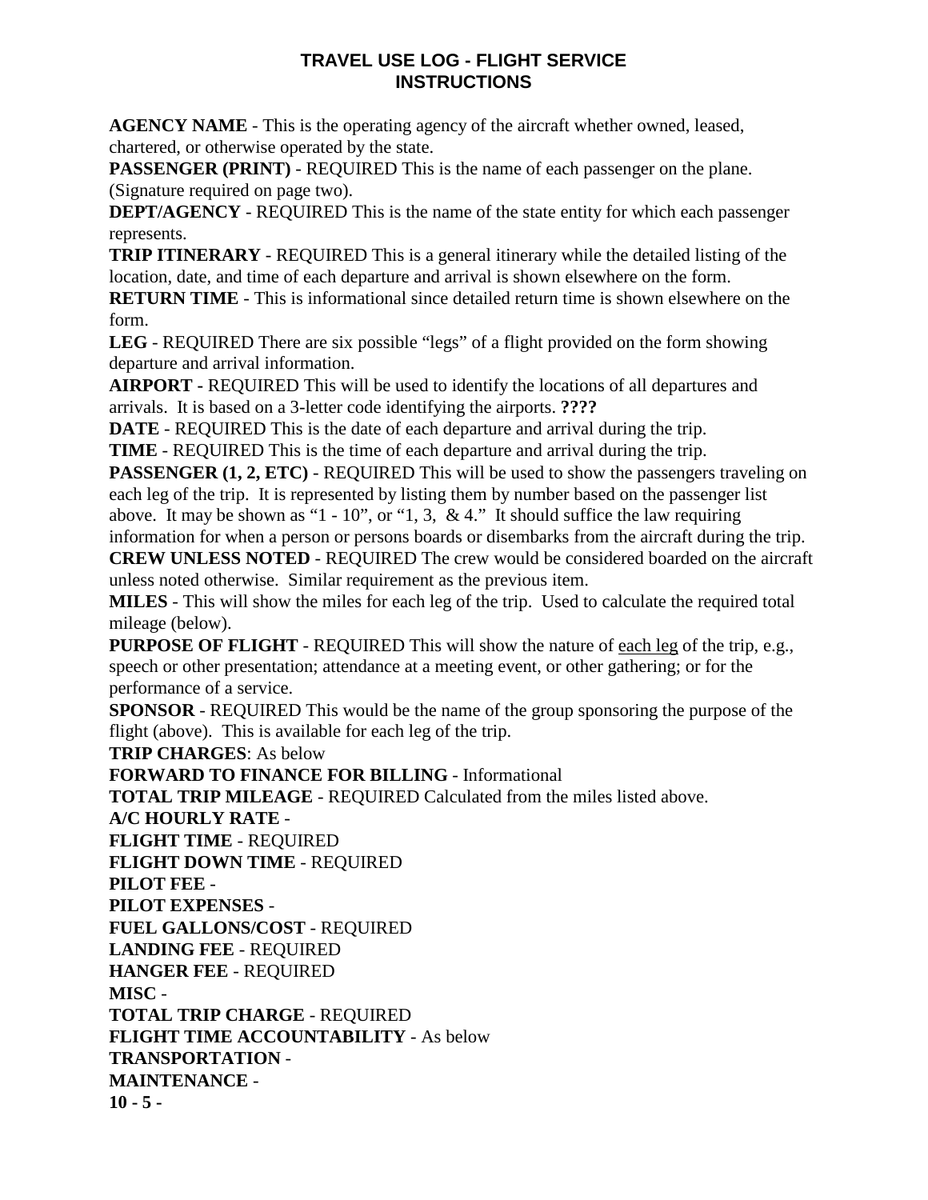## **TRAVEL USE LOG - FLIGHT SERVICE INSTRUCTIONS**

**AGENCY NAME** - This is the operating agency of the aircraft whether owned, leased, chartered, or otherwise operated by the state.

**PASSENGER (PRINT)** - REQUIRED This is the name of each passenger on the plane. (Signature required on page two).

**DEPT/AGENCY** - REQUIRED This is the name of the state entity for which each passenger represents.

**TRIP ITINERARY** - REQUIRED This is a general itinerary while the detailed listing of the location, date, and time of each departure and arrival is shown elsewhere on the form.

**RETURN TIME** - This is informational since detailed return time is shown elsewhere on the form.

**LEG** - REQUIRED There are six possible "legs" of a flight provided on the form showing departure and arrival information.

**AIRPORT -** REQUIRED This will be used to identify the locations of all departures and arrivals. It is based on a 3-letter code identifying the airports. **????**

**DATE** - REQUIRED This is the date of each departure and arrival during the trip.

**TIME** - REQUIRED This is the time of each departure and arrival during the trip.

**PASSENGER (1, 2, ETC)** - REQUIRED This will be used to show the passengers traveling on each leg of the trip. It is represented by listing them by number based on the passenger list above. It may be shown as "1 - 10", or "1, 3, & 4." It should suffice the law requiring information for when a person or persons boards or disembarks from the aircraft during the trip.

**CREW UNLESS NOTED** - REQUIRED The crew would be considered boarded on the aircraft unless noted otherwise. Similar requirement as the previous item.

**MILES** - This will show the miles for each leg of the trip. Used to calculate the required total mileage (below).

**PURPOSE OF FLIGHT** - REQUIRED This will show the nature of each leg of the trip, e.g., speech or other presentation; attendance at a meeting event, or other gathering; or for the performance of a service.

**SPONSOR** - REQUIRED This would be the name of the group sponsoring the purpose of the flight (above). This is available for each leg of the trip.

**TRIP CHARGES**: As below

**FORWARD TO FINANCE FOR BILLING** - Informational

**TOTAL TRIP MILEAGE** - REQUIRED Calculated from the miles listed above.

**A/C HOURLY RATE** - **FLIGHT TIME** - REQUIRED

**FLIGHT DOWN TIME** - REQUIRED

**PILOT FEE** -

**PILOT EXPENSES** -

**FUEL GALLONS/COST** - REQUIRED

**LANDING FEE** - REQUIRED

**HANGER FEE** - REQUIRED

**MISC** -

**TOTAL TRIP CHARGE** - REQUIRED **FLIGHT TIME ACCOUNTABILITY** - As below **TRANSPORTATION** - **MAINTENANCE** - **10 - 5 -**